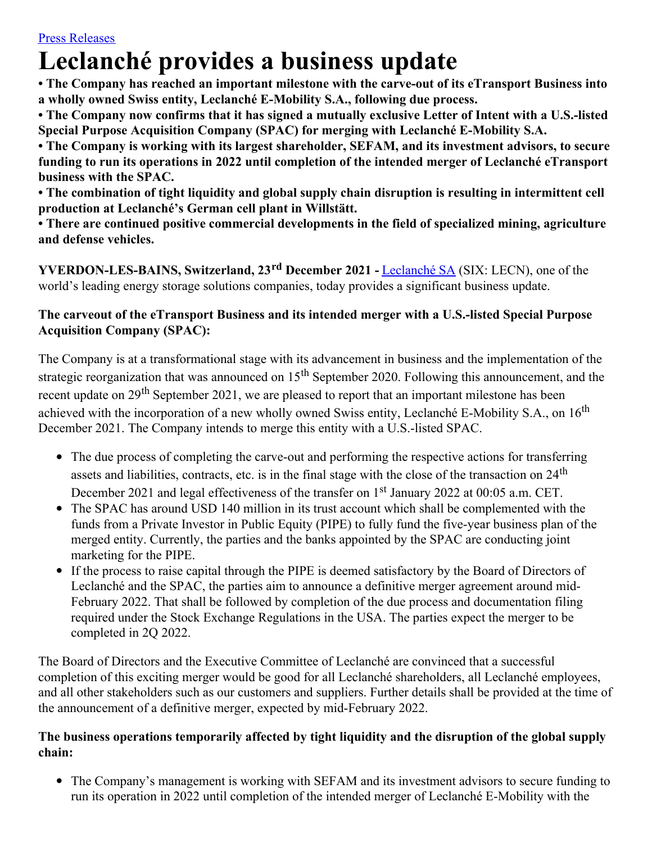# **Leclanché provides a business update**

**• The Company has reached an important milestone with the carve-out of its eTransport Business into a wholly owned Swiss entity, Leclanché E-Mobility S.A., following due process.**

• The Company now confirms that it has signed a mutually exclusive Letter of Intent with a U.S.-listed **Special Purpose Acquisition Company (SPAC) for merging with Leclanché E-Mobility S.A.**

**• The Company is working with its largest shareholder, SEFAM, and its investment advisors, to secure funding to run its operations in 2022 until completion of the intended merger of Leclanché eTransport business with the SPAC.**

**• The combination of tight liquidity and global supply chain disruption is resulting in intermittent cell production at Leclanché's German cell plant in Willstätt.**

**• There are continued positive commercial developments in the field of specialized mining, agriculture and defense vehicles.**

**YVERDON-LES-BAINS, Switzerland, 23 rd December 2021 -** [Leclanché](http://www.leclanche.com/) SA (SIX: LECN), one of the world's leading energy storage solutions companies, today provides a significant business update.

## **The carveout of the eTransport Business and its intended merger with a U.S.-listed Special Purpose Acquisition Company (SPAC):**

The Company is at a transformational stage with its advancement in business and the implementation of the strategic reorganization that was announced on 15<sup>th</sup> September 2020. Following this announcement, and the recent update on 29<sup>th</sup> September 2021, we are pleased to report that an important milestone has been achieved with the incorporation of a new wholly owned Swiss entity, Leclanché E-Mobility S.A., on 16<sup>th</sup> December 2021. The Company intends to merge this entity with a U.S.-listed SPAC.

- The due process of completing the carve-out and performing the respective actions for transferring assets and liabilities, contracts, etc. is in the final stage with the close of the transaction on 24<sup>th</sup> December 2021 and legal effectiveness of the transfer on 1<sup>st</sup> January 2022 at 00:05 a.m. CET.
- The SPAC has around USD 140 million in its trust account which shall be complemented with the funds from a Private Investor in Public Equity (PIPE) to fully fund the five-year business plan of the merged entity. Currently, the parties and the banks appointed by the SPAC are conducting joint marketing for the PIPE.
- If the process to raise capital through the PIPE is deemed satisfactory by the Board of Directors of Leclanché and the SPAC, the parties aim to announce a definitive merger agreement around mid-February 2022. That shall be followed by completion of the due process and documentation filing required under the Stock Exchange Regulations in the USA. The parties expect the merger to be completed in 2Q 2022.

The Board of Directors and the Executive Committee of Leclanché are convinced that a successful completion of this exciting merger would be good for all Leclanché shareholders, all Leclanché employees, and all other stakeholders such as our customers and suppliers. Further details shall be provided at the time of the announcement of a definitive merger, expected by mid-February 2022.

### **The business operations temporarily affected by tight liquidity and the disruption of the global supply chain:**

The Company's management is working with SEFAM and its investment advisors to secure funding to run its operation in 2022 until completion of the intended merger of Leclanché E-Mobility with the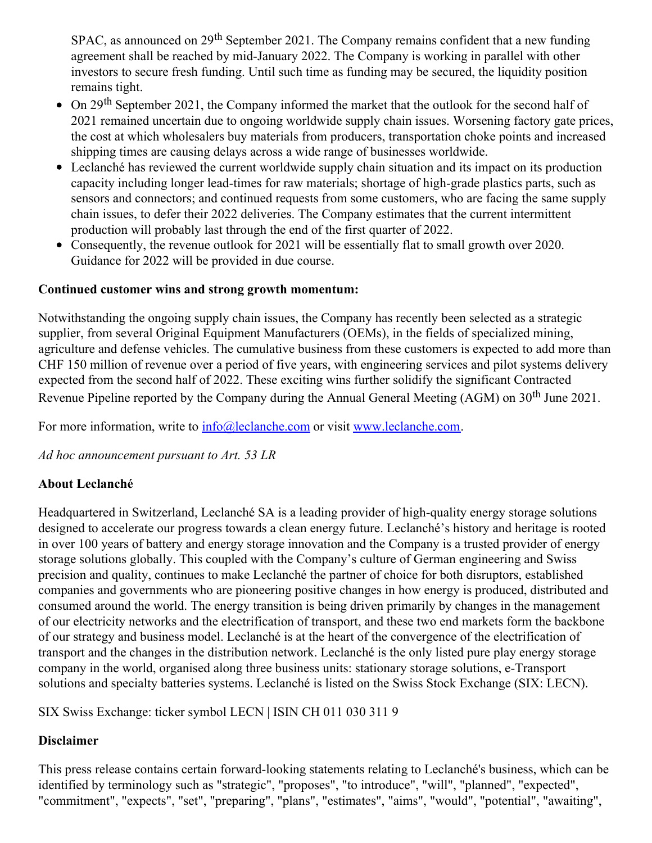SPAC, as announced on 29<sup>th</sup> September 2021. The Company remains confident that a new funding agreement shall be reached by mid-January 2022. The Company is working in parallel with other investors to secure fresh funding. Until such time as funding may be secured, the liquidity position remains tight.

- On 29<sup>th</sup> September 2021, the Company informed the market that the outlook for the second half of 2021 remained uncertain due to ongoing worldwide supply chain issues. Worsening factory gate prices, the cost at which wholesalers buy materials from producers, transportation choke points and increased shipping times are causing delays across a wide range of businesses worldwide.
- Leclanché has reviewed the current worldwide supply chain situation and its impact on its production capacity including longer lead-times for raw materials; shortage of high-grade plastics parts, such as sensors and connectors; and continued requests from some customers, who are facing the same supply chain issues, to defer their 2022 deliveries. The Company estimates that the current intermittent production will probably last through the end of the first quarter of 2022.
- $\bullet$ Consequently, the revenue outlook for 2021 will be essentially flat to small growth over 2020. Guidance for 2022 will be provided in due course.

#### **Continued customer wins and strong growth momentum:**

Notwithstanding the ongoing supply chain issues, the Company has recently been selected as a strategic supplier, from several Original Equipment Manufacturers (OEMs), in the fields of specialized mining, agriculture and defense vehicles. The cumulative business from these customers is expected to add more than CHF 150 million of revenue over a period of five years, with engineering services and pilot systems delivery expected from the second half of 2022. These exciting wins further solidify the significant Contracted Revenue Pipeline reported by the Company during the Annual General Meeting (AGM) on  $30<sup>th</sup>$  June 2021.

For more information, write to  $info@leclanche.com$  or visit [www.leclanche.com](http://www.leclanche.com/).

*Ad hoc announcement pursuant to Art. 53 LR*

## **About Leclanché**

Headquartered in Switzerland, Leclanché SA is a leading provider of high-quality energy storage solutions designed to accelerate our progress towards a clean energy future. Leclanché's history and heritage is rooted in over 100 years of battery and energy storage innovation and the Company is a trusted provider of energy storage solutions globally. This coupled with the Company's culture of German engineering and Swiss precision and quality, continues to make Leclanché the partner of choice for both disruptors, established companies and governments who are pioneering positive changes in how energy is produced, distributed and consumed around the world. The energy transition is being driven primarily by changes in the management of our electricity networks and the electrification of transport, and these two end markets form the backbone of our strategy and business model. Leclanché is at the heart of the convergence of the electrification of transport and the changes in the distribution network. Leclanché is the only listed pure play energy storage company in the world, organised along three business units: stationary storage solutions, e-Transport solutions and specialty batteries systems. Leclanché is listed on the Swiss Stock Exchange (SIX: LECN).

SIX Swiss Exchange: ticker symbol LECN | ISIN CH 011 030 311 9

## **Disclaimer**

This press release contains certain forward-looking statements relating to Leclanché's business, which can be identified by terminology such as "strategic", "proposes", "to introduce", "will", "planned", "expected", "commitment", "expects", "set", "preparing", "plans", "estimates", "aims", "would", "potential", "awaiting",